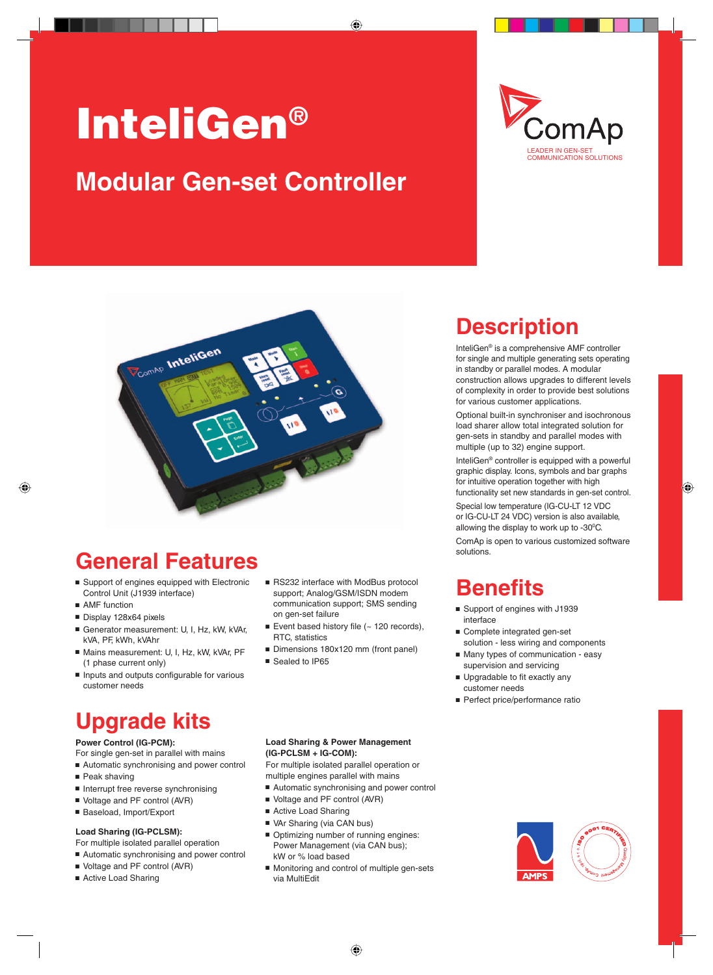# InteliGen® **Modular Gen-set Controller**





### **General Features**

- Support of engines equipped with Electronic Control Unit (J1939 interface)
- $AMF$  function
- $\blacksquare$  Display 128x64 pixels
- Generator measurement: U, I, Hz, kW, kVAr, kVA, PF, kWh, kVAhr
- Mains measurement: U, I, Hz, kW, kVAr, PF (1 phase current only)
- n Inputs and outputs configurable for various customer needs

## **Upgrade kits**

#### **Power Control (IG-PCM):**

- For single gen-set in parallel with mains
- Automatic synchronising and power control
- $P$ eak shaving
- n Interrupt free reverse synchronising
- Voltage and PF control (AVR)
- Baseload, Import/Export

#### **Load Sharing (IG-PCLSM):**

- For multiple isolated parallel operation
- Automatic synchronising and power control
- Voltage and PF control (AVR)
- Active Load Sharing
- RS232 interface with ModBus protocol support; Analog/GSM/ISDN modem communication support; SMS sending on gen-set failure
- Event based history file  $($   $\sim$  120 records), RTC, statistics
- Dimensions 180x120 mm (front panel)
- Sealed to IP65

## **Description**

InteliGen® is a comprehensive AMF controller for single and multiple generating sets operating in standby or parallel modes. A modular construction allows upgrades to different levels of complexity in order to provide best solutions for various customer applications.

Optional built-in synchroniser and isochronous load sharer allow total integrated solution for gen-sets in standby and parallel modes with multiple (up to 32) engine support.

InteliGen® controller is equipped with a powerful graphic display. Icons, symbols and bar graphs for intuitive operation together with high functionality set new standards in gen-set control.

Special low temperature (IG-CU-LT 12 VDC or IG-CU-LT 24 VDC) version is also available, allowing the display to work up to  $-30^{\circ}$ C.

ComAp is open to various customized software solutions.

### **Benefits**

- Support of engines with J1939 interface
- Complete integrated gen-set solution - less wiring and components
- Many types of communication easy supervision and servicing
- **Deparadable to fit exactly any** customer needs
- **Perfect price/performance ratio**

#### **Load Sharing & Power Management (IG-PCLSM + IG-COM):**

For multiple isolated parallel operation or multiple engines parallel with mains

- Automatic synchronising and power control
- Voltage and PF control (AVR)
- Active Load Sharing
- VAr Sharing (via CAN bus)
- $\blacksquare$  Optimizing number of running engines: Power Management (via CAN bus); kW or % load based
- Monitoring and control of multiple gen-sets via MultiEdit